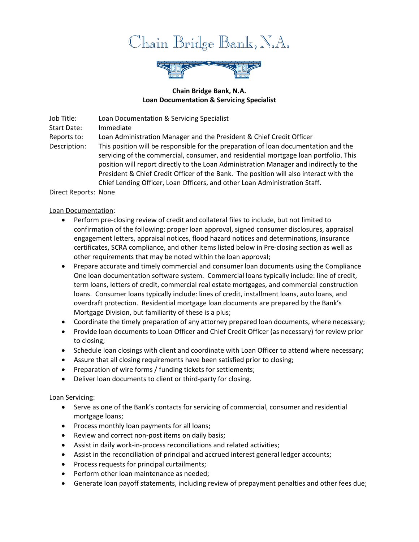# Chain Bridge Bank, N.A.



**Chain Bridge Bank, N.A. Loan Documentation & Servicing Specialist**

Job Title: Loan Documentation & Servicing Specialist

Start Date: Immediate

Reports to: Loan Administration Manager and the President & Chief Credit Officer

Description: This position will be responsible for the preparation of loan documentation and the servicing of the commercial, consumer, and residential mortgage loan portfolio. This position will report directly to the Loan Administration Manager and indirectly to the President & Chief Credit Officer of the Bank. The position will also interact with the Chief Lending Officer, Loan Officers, and other Loan Administration Staff.

Direct Reports: None

Loan Documentation:

- Perform pre-closing review of credit and collateral files to include, but not limited to confirmation of the following: proper loan approval, signed consumer disclosures, appraisal engagement letters, appraisal notices, flood hazard notices and determinations, insurance certificates, SCRA compliance, and other items listed below in Pre-closing section as well as other requirements that may be noted within the loan approval;
- Prepare accurate and timely commercial and consumer loan documents using the Compliance One loan documentation software system. Commercial loans typically include: line of credit, term loans, letters of credit, commercial real estate mortgages, and commercial construction loans. Consumer loans typically include: lines of credit, installment loans, auto loans, and overdraft protection. Residential mortgage loan documents are prepared by the Bank's Mortgage Division, but familiarity of these is a plus;
- Coordinate the timely preparation of any attorney prepared loan documents, where necessary;
- Provide loan documents to Loan Officer and Chief Credit Officer (as necessary) for review prior to closing;
- Schedule loan closings with client and coordinate with Loan Officer to attend where necessary;
- Assure that all closing requirements have been satisfied prior to closing;
- Preparation of wire forms / funding tickets for settlements;
- Deliver loan documents to client or third-party for closing.

# Loan Servicing:

- Serve as one of the Bank's contacts for servicing of commercial, consumer and residential mortgage loans;
- Process monthly loan payments for all loans;
- Review and correct non-post items on daily basis;
- Assist in daily work-in-process reconciliations and related activities;
- Assist in the reconciliation of principal and accrued interest general ledger accounts;
- Process requests for principal curtailments;
- Perform other loan maintenance as needed;
- Generate loan payoff statements, including review of prepayment penalties and other fees due;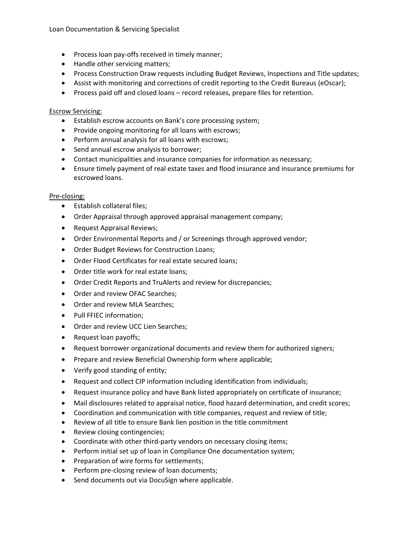#### Loan Documentation & Servicing Specialist

- Process loan pay-offs received in timely manner;
- Handle other servicing matters;
- Process Construction Draw requests including Budget Reviews, Inspections and Title updates;
- Assist with monitoring and corrections of credit reporting to the Credit Bureaus (eOscar);
- Process paid off and closed loans record releases, prepare files for retention.

# Escrow Servicing:

- Establish escrow accounts on Bank's core processing system;
- Provide ongoing monitoring for all loans with escrows;
- Perform annual analysis for all loans with escrows;
- Send annual escrow analysis to borrower;
- Contact municipalities and insurance companies for information as necessary;
- Ensure timely payment of real estate taxes and flood insurance and insurance premiums for escrowed loans.

## Pre-closing:

- Establish collateral files;
- Order Appraisal through approved appraisal management company;
- Request Appraisal Reviews;
- Order Environmental Reports and / or Screenings through approved vendor;
- Order Budget Reviews for Construction Loans;
- Order Flood Certificates for real estate secured loans;
- Order title work for real estate loans;
- Order Credit Reports and TruAlerts and review for discrepancies;
- Order and review OFAC Searches;
- Order and review MLA Searches;
- Pull FFIEC information;
- Order and review UCC Lien Searches;
- Request loan payoffs;
- Request borrower organizational documents and review them for authorized signers;
- Prepare and review Beneficial Ownership form where applicable;
- Verify good standing of entity;
- Request and collect CIP information including identification from individuals;
- Request insurance policy and have Bank listed appropriately on certificate of insurance;
- Mail disclosures related to appraisal notice, flood hazard determination, and credit scores;
- Coordination and communication with title companies, request and review of title;
- Review of all title to ensure Bank lien position in the title commitment
- Review closing contingencies;
- Coordinate with other third-party vendors on necessary closing items;
- Perform initial set up of loan in Compliance One documentation system;
- Preparation of wire forms for settlements;
- Perform pre-closing review of loan documents;
- Send documents out via DocuSign where applicable.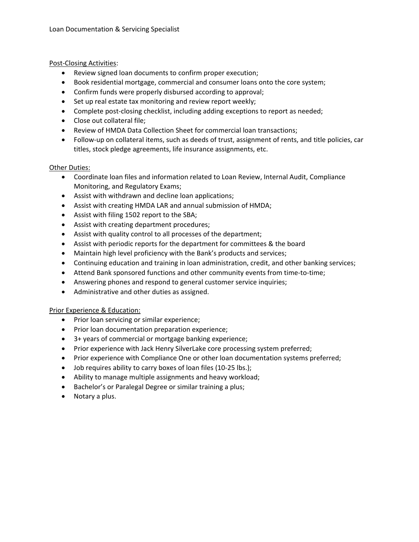# Post-Closing Activities:

- Review signed loan documents to confirm proper execution;
- Book residential mortgage, commercial and consumer loans onto the core system;
- Confirm funds were properly disbursed according to approval;
- Set up real estate tax monitoring and review report weekly;
- Complete post-closing checklist, including adding exceptions to report as needed;
- Close out collateral file;
- Review of HMDA Data Collection Sheet for commercial loan transactions;
- Follow-up on collateral items, such as deeds of trust, assignment of rents, and title policies, car titles, stock pledge agreements, life insurance assignments, etc.

## Other Duties:

- Coordinate loan files and information related to Loan Review, Internal Audit, Compliance Monitoring, and Regulatory Exams;
- Assist with withdrawn and decline loan applications;
- Assist with creating HMDA LAR and annual submission of HMDA;
- Assist with filing 1502 report to the SBA;
- Assist with creating department procedures;
- Assist with quality control to all processes of the department;
- Assist with periodic reports for the department for committees & the board
- Maintain high level proficiency with the Bank's products and services;
- Continuing education and training in loan administration, credit, and other banking services;
- Attend Bank sponsored functions and other community events from time-to-time;
- Answering phones and respond to general customer service inquiries;
- Administrative and other duties as assigned.

## Prior Experience & Education:

- Prior loan servicing or similar experience;
- Prior loan documentation preparation experience;
- 3+ years of commercial or mortgage banking experience;
- Prior experience with Jack Henry SilverLake core processing system preferred;
- Prior experience with Compliance One or other loan documentation systems preferred;
- Job requires ability to carry boxes of loan files (10-25 lbs.);
- Ability to manage multiple assignments and heavy workload;
- Bachelor's or Paralegal Degree or similar training a plus;
- Notary a plus.